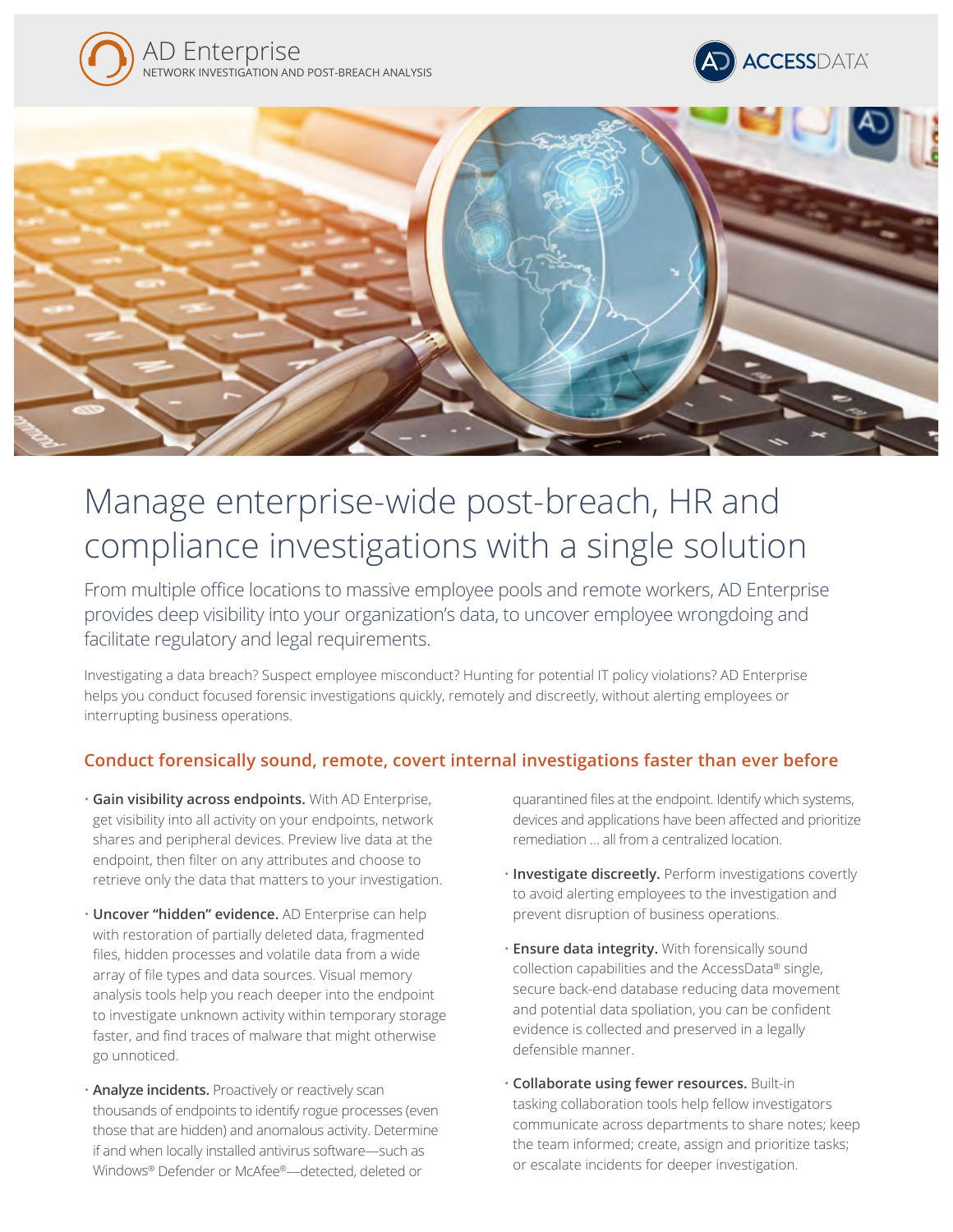





# Manage enterprise-wide post-breach, HR and compliance investigations with a single solution

From multiple office locations to massive employee pools and remote workers, AD Enterprise provides deep visibility into your organization's data, to uncover employee wrongdoing and facilitate regulatory and legal requirements.

Investigating a data breach? Suspect employee misconduct? Hunting for potential IT policy violations? AD Enterprise helps you conduct focused forensic investigations quickly, remotely and discreetly, without alerting employees or interrupting business operations.

## **Conduct forensically sound, remote, covert internal investigations faster than ever before**

- **Gain visibility across endpoints.** With AD Enterprise, get visibility into all activity on your endpoints, network shares and peripheral devices. Preview live data at the endpoint, then filter on any attributes and choose to retrieve only the data that matters to your investigation.
- **Uncover "hidden" evidence.** AD Enterprise can help with restoration of partially deleted data, fragmented files, hidden processes and volatile data from a wide array of file types and data sources. Visual memory analysis tools help you reach deeper into the endpoint to investigate unknown activity within temporary storage faster, and find traces of malware that might otherwise go unnoticed.
- **Analyze incidents.** Proactively or reactively scan thousands of endpoints to identify rogue processes (even those that are hidden) and anomalous activity. Determine if and when locally installed antivirus software—such as Windows® Defender or McAfee®—detected, deleted or

quarantined files at the endpoint. Identify which systems, devices and applications have been affected and prioritize remediation … all from a centralized location.

- **Investigate discreetly.** Perform investigations covertly to avoid alerting employees to the investigation and prevent disruption of business operations.
- **Ensure data integrity.** With forensically sound collection capabilities and the AccessData® single, secure back-end database reducing data movement and potential data spoliation, you can be confident evidence is collected and preserved in a legally defensible manner.
- **Collaborate using fewer resources.** Built-in tasking collaboration tools help fellow investigators communicate across departments to share notes; keep the team informed; create, assign and prioritize tasks; or escalate incidents for deeper investigation.